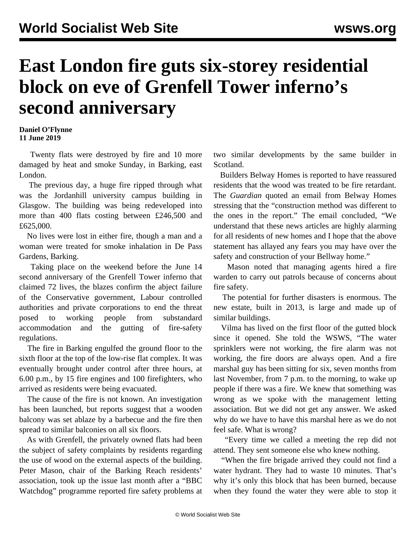## **East London fire guts six-storey residential block on eve of Grenfell Tower inferno's second anniversary**

## **Daniel O'Flynne 11 June 2019**

 Twenty flats were destroyed by fire and 10 more damaged by heat and smoke Sunday, in Barking, east London.

 The previous day, a huge fire ripped through what was the Jordanhill university campus building in Glasgow. The building was being redeveloped into more than 400 flats costing between £246,500 and £625,000.

 No lives were lost in either fire, though a man and a woman were treated for smoke inhalation in De Pass Gardens, Barking.

 Taking place on the weekend before the June 14 second anniversary of the Grenfell Tower inferno that claimed 72 lives, the blazes confirm the abject failure of the Conservative government, Labour controlled authorities and private corporations to end the threat posed to working people from substandard accommodation and the gutting of fire-safety regulations.

 The fire in Barking engulfed the ground floor to the sixth floor at the top of the low-rise flat complex. It was eventually brought under control after three hours, at 6.00 p.m., by 15 fire engines and 100 firefighters, who arrived as residents were being evacuated.

 The cause of the fire is not known. An investigation has been launched, but reports suggest that a wooden balcony was set ablaze by a barbecue and the fire then spread to similar balconies on all six floors.

 As with Grenfell, the privately owned flats had been the subject of safety complaints by residents regarding the use of wood on the external aspects of the building. Peter Mason, chair of the Barking Reach residents' association, took up the issue last month after a "BBC Watchdog" programme reported fire safety problems at

two similar developments by the same builder in Scotland.

 Builders Belway Homes is reported to have reassured residents that the wood was treated to be fire retardant. The *Guardian* quoted an email from Belway Homes stressing that the "construction method was different to the ones in the report." The email concluded, "We understand that these news articles are highly alarming for all residents of new homes and I hope that the above statement has allayed any fears you may have over the safety and construction of your Bellway home."

 Mason noted that managing agents hired a fire warden to carry out patrols because of concerns about fire safety.

 The potential for further disasters is enormous. The new estate, built in 2013, is large and made up of similar buildings.

 Vilma has lived on the first floor of the gutted block since it opened. She told the WSWS, "The water sprinklers were not working, the fire alarm was not working, the fire doors are always open. And a fire marshal guy has been sitting for six, seven months from last November, from 7 p.m. to the morning, to wake up people if there was a fire. We knew that something was wrong as we spoke with the management letting association. But we did not get any answer. We asked why do we have to have this marshal here as we do not feel safe. What is wrong?

 "Every time we called a meeting the rep did not attend. They sent someone else who knew nothing.

 "When the fire brigade arrived they could not find a water hydrant. They had to waste 10 minutes. That's why it's only this block that has been burned, because when they found the water they were able to stop it